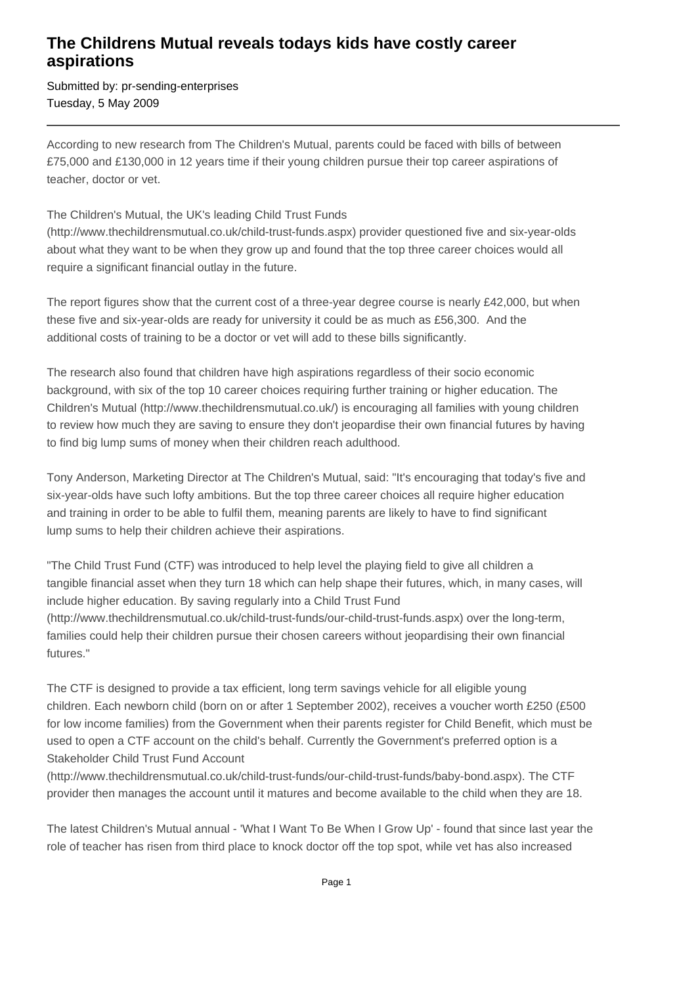## **The Childrens Mutual reveals todays kids have costly career aspirations**

Submitted by: pr-sending-enterprises Tuesday, 5 May 2009

According to new research from The Children's Mutual, parents could be faced with bills of between £75,000 and £130,000 in 12 years time if their young children pursue their top career aspirations of teacher, doctor or vet.

## The Children's Mutual, the UK's leading Child Trust Funds

(http://www.thechildrensmutual.co.uk/child-trust-funds.aspx) provider questioned five and six-year-olds about what they want to be when they grow up and found that the top three career choices would all require a significant financial outlay in the future.

The report figures show that the current cost of a three-year degree course is nearly £42,000, but when these five and six-year-olds are ready for university it could be as much as £56,300. And the additional costs of training to be a doctor or vet will add to these bills significantly.

The research also found that children have high aspirations regardless of their socio economic background, with six of the top 10 career choices requiring further training or higher education. The Children's Mutual (http://www.thechildrensmutual.co.uk/) is encouraging all families with young children to review how much they are saving to ensure they don't jeopardise their own financial futures by having to find big lump sums of money when their children reach adulthood.

Tony Anderson, Marketing Director at The Children's Mutual, said: "It's encouraging that today's five and six-year-olds have such lofty ambitions. But the top three career choices all require higher education and training in order to be able to fulfil them, meaning parents are likely to have to find significant lump sums to help their children achieve their aspirations.

"The Child Trust Fund (CTF) was introduced to help level the playing field to give all children a tangible financial asset when they turn 18 which can help shape their futures, which, in many cases, will include higher education. By saving regularly into a Child Trust Fund (http://www.thechildrensmutual.co.uk/child-trust-funds/our-child-trust-funds.aspx) over the long-term, families could help their children pursue their chosen careers without jeopardising their own financial futures."

The CTF is designed to provide a tax efficient, long term savings vehicle for all eligible young children. Each newborn child (born on or after 1 September 2002), receives a voucher worth £250 (£500 for low income families) from the Government when their parents register for Child Benefit, which must be used to open a CTF account on the child's behalf. Currently the Government's preferred option is a Stakeholder Child Trust Fund Account

(http://www.thechildrensmutual.co.uk/child-trust-funds/our-child-trust-funds/baby-bond.aspx). The CTF provider then manages the account until it matures and become available to the child when they are 18.

The latest Children's Mutual annual - 'What I Want To Be When I Grow Up' - found that since last year the role of teacher has risen from third place to knock doctor off the top spot, while vet has also increased